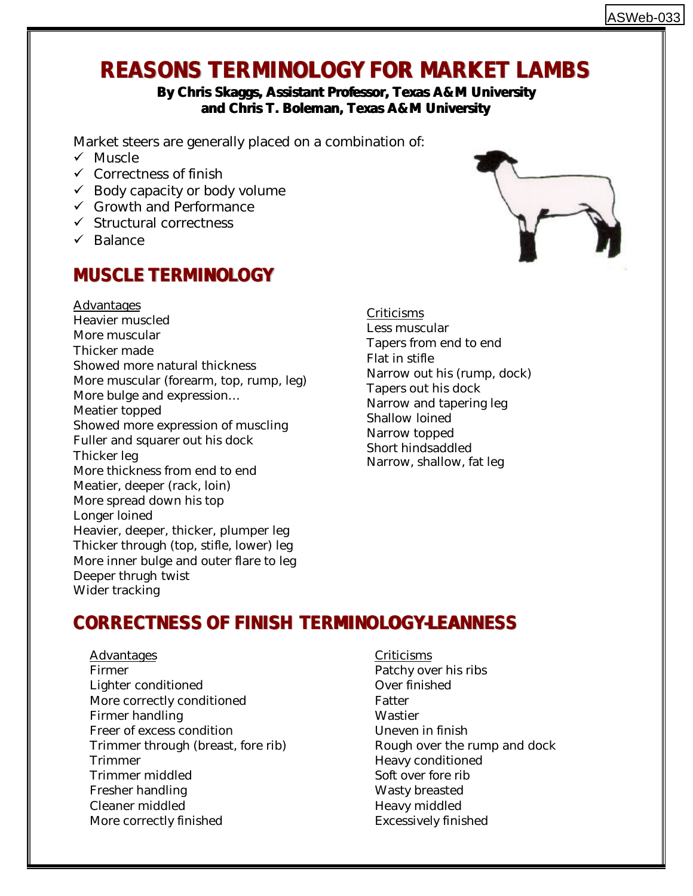# **REASONS TERMINOLOGY FOR MARKET LAMBS**

#### **By Chris Skaggs, Assistant Professor, Texas A&M University and Chris T. Boleman, Texas A&M University**

Market steers are generally placed on a combination of:

- $\checkmark$  Muscle
- $\checkmark$  Correctness of finish
- $\checkmark$  Body capacity or body volume
- $\checkmark$  Growth and Performance
- $\checkmark$  Structural correctness
- $\checkmark$  Balance

# **MUSCLE TERMINOLOGY**

Advantages Heavier muscled More muscular Thicker made Showed more natural thickness More muscular (forearm, top, rump, leg) More bulge and expression… Meatier topped Showed more expression of muscling Fuller and squarer out his dock Thicker leg More thickness from end to end Meatier, deeper (rack, loin) More spread down his top Longer loined Heavier, deeper, thicker, plumper leg Thicker through (top, stifle, lower) leg More inner bulge and outer flare to leg Deeper thrugh twist Wider tracking

Criticisms Less muscular Tapers from end to end Flat in stifle Narrow out his (rump, dock) Tapers out his dock Narrow and tapering leg Shallow loined Narrow topped Short hindsaddled Narrow, shallow, fat leg

# **CORRECTNESS OF FINISH TERMINOLOGY-LEANNESS**

- Advantages Firmer Lighter conditioned More correctly conditioned Firmer handling Freer of excess condition Trimmer through (breast, fore rib) Trimmer Trimmer middled Fresher handling Cleaner middled More correctly finished
- Criticisms Patchy over his ribs Over finished Fatter Wastier Uneven in finish Rough over the rump and dock Heavy conditioned Soft over fore rib Wasty breasted Heavy middled Excessively finished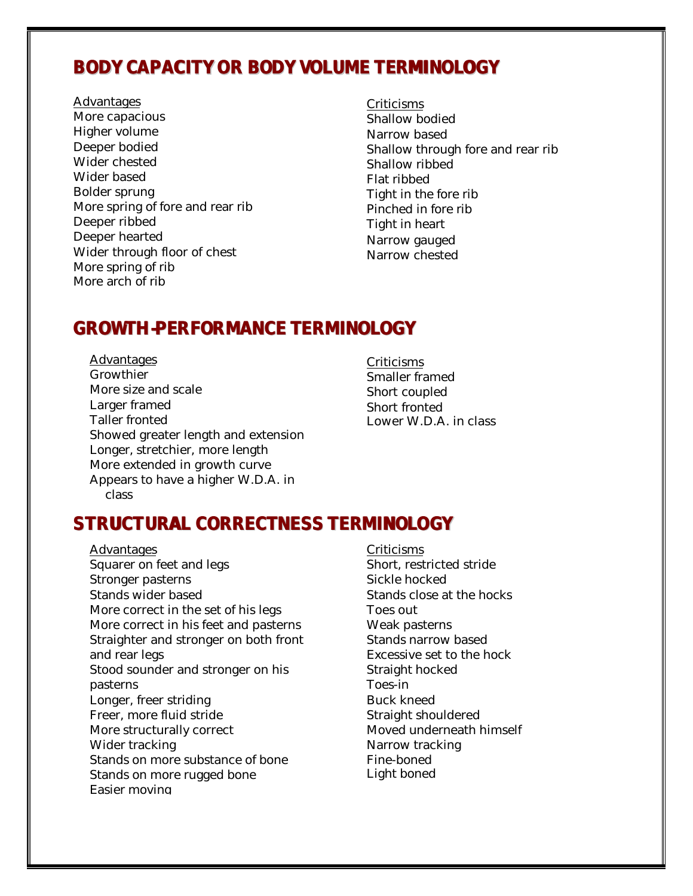#### **BODY CAPACITY OR BODY VOLUME TERMINOLOGY**

Advantages More capacious Higher volume Deeper bodied Wider chested Wider based Bolder sprung More spring of fore and rear rib Deeper ribbed Deeper hearted Wider through floor of chest More spring of rib More arch of rib

**Criticisms** Shallow bodied Narrow based Shallow through fore and rear rib Shallow ribbed Flat ribbed Tight in the fore rib Pinched in fore rib Tight in heart Narrow gauged Narrow chested

#### **GROWTH-PERFORMANCE TERMINOLOGY**

Advantages **Growthier** More size and scale Larger framed Taller fronted Showed greater length and extension Longer, stretchier, more length More extended in growth curve Appears to have a higher W.D.A. in class

Criticisms Smaller framed Short coupled Short fronted Lower W.D.A. in class

## **STRUCTURAL CORRECTNESS TERMINOLOGY**

- Advantages Squarer on feet and legs Stronger pasterns Stands wider based More correct in the set of his legs More correct in his feet and pasterns Straighter and stronger on both front and rear legs Stood sounder and stronger on his pasterns Longer, freer striding Freer, more fluid stride More structurally correct Wider tracking Stands on more substance of bone Stands on more rugged bone Easier moving
- Criticisms Short, restricted stride Sickle hocked Stands close at the hocks Toes out Weak pasterns Stands narrow based Excessive set to the hock Straight hocked Toes-in Buck kneed Straight shouldered Moved underneath himself Narrow tracking Fine-boned Light boned